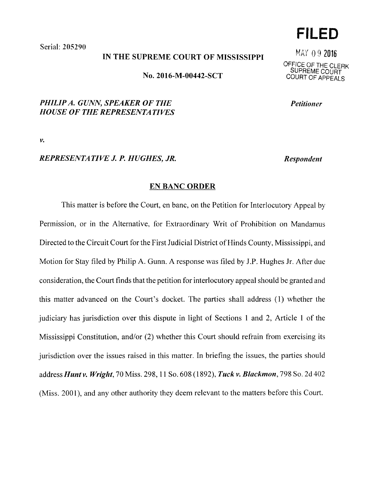Serial: 205290

### IN THE SUPREME COURT OF MISSISSIPPI

No. 2016-M-00442-SCT

# *PHILIP A. GUNN, SPEAKER OF THE HOUSE OF THE REPRESENTATIVES*

*v.* 

### *REPRESENTATIVE J.P. HUGHES, JR.*

#### EN BANC ORDER

This matter is before the Court, en bane, on the Petition for Interlocutory Appeal by Permission, or in the Alternative, for Extraordinary Writ of Prohibition on Mandamus Directed to the Circuit Court for the First Judicial District of Hinds County, Mississippi, and Motion for Stay filed by Philip A. Gunn. A response was filed by J.P. Hughes Jr. After due consideration, the Court finds that the petition for interlocutory appeal should be granted and this matter advanced on the Court's docket. The parties shall address (1) whether the judiciary has jurisdiction over this dispute in light of Sections 1 and 2, Article 1 of the Mississippi Constitution, and/or (2) whether this Court should refrain from exercising its jurisdiction over the issues raised in this matter. In briefing the issues, the parties should *addressHuntv. Wright,* 70 Miss. 298, 11 So. 608 (1892), *Tuckv. Blackmon,* 798 So. 2d402 (Miss. 2001), and any other authority they deem relevant to the matters before this Court.

**FILED** 

MAY O 9 2016 OFFICE OF THE CLERK SUPREME COURT COURT OF APPEALS

*Petitioner* 

*Respondent*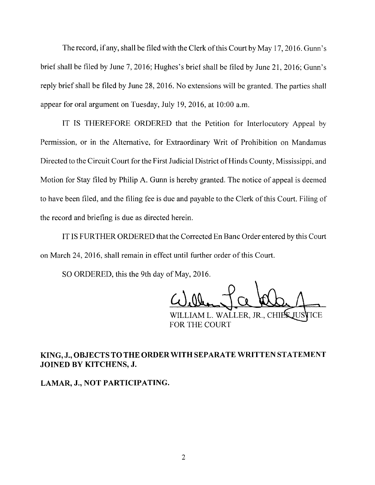The record, if any, shall be filed with the Clerk of this Court by May 17, 2016. Gunn's brief shall be filed by June 7, 2016; Hughes's brief shall be filed by June 21, 2016; Gunn's reply brief shall be filed by June 28, 2016. No extensions will be granted. The parties shall appear for oral argument on Tuesday, July 19, 2016, at 10:00 a.m.

IT IS THEREFORE ORDERED that the Petition for Interlocutory Appeal by Permission, or in the Alternative, for Extraordinary Writ of Prohibition on Mandamus Directed to the Circuit Court for the First Judicial District of Hinds County, Mississippi, and Motion for Stay filed by Philip A. Gunn is hereby granted. The notice of appeal is deemed to have been filed, and the filing fee is due and payable to the Clerk of this Court. Filing of the record and briefing is due as directed herein.

IT IS FURTHER ORDERED that the Corrected En Banc Order entered by this Court on March 24, 2016, shall remain in effect until further order of this Court.

SO ORDERED, this the 9th day of May, 2016.

WILLIAM L. WALLER, JR., CHI FOR THE COURT

# KING, J., OBJECTS TO THE ORDER WITH SEPARATE WRITTEN STATEMENT **JOINED BY KITCHENS, J.**

**LAMAR, J., NOT PARTICIPATING.**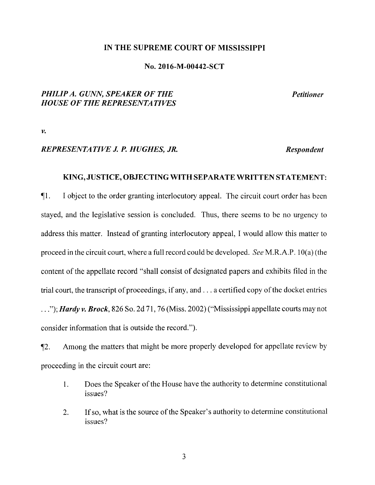#### IN THE SUPREME COURT OF MISSISSIPPI

#### No. 2016-M-00442-SCT

## *PHILIP A. GUNN, SPEAKER OF THE HOUSE OF THE REPRESENTATIVES*

*Petitioner* 

*v.* 

## *REPRESENTATIVE J.P. HUGHES, JR.*

*Respondent* 

### KING, JUSTICE, OBJECTING WITH SEPARATE WRITTEN STATEMENT:

11. I object to the order granting interlocutory appeal. The circuit court order has been stayed, and the legislative session is concluded. Thus, there seems to be no urgency to address this matter. Instead of granting interlocutory appeal, I would allow this matter to proceed in the circuit court, where a full record could be developed. *See* M.R.A.P. 10( a) ( the content of the appellate record "shall consist of designated papers and exhibits filed in the trial court, the transcript of proceedings, if any, and ... a certified copy of the docket entries ... "); *Hardy v. Brock,* 826 So. 2d 71, 76 (Miss. 2002)("Mississippi appellate courts may not consider information that is outside the record.").

12. Among the matters that might be more properly developed for appellate review by proceeding in the circuit court are:

- 1. Does the Speaker of the House have the authority to determine constitutional issues?
- 2. If so, what is the source of the Speaker's authority to determine constitutional issues?